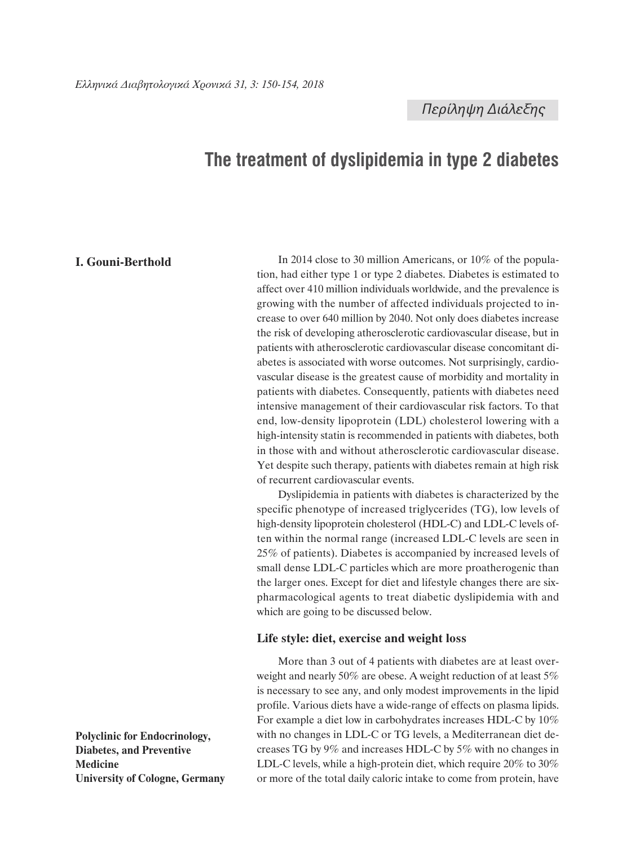# **The treatment of dyslipidemia in type 2 diabetes**

# **I. Gouni-Berthold**

In 2014 close to 30 million Americans, or 10% of the population, had either type 1 or type 2 diabetes. Diabetes is estimated to affect over 410 million individuals worldwide, and the prevalence is growing with the number of affected individuals projected to increase to over 640 million by 2040. Not only does diabetes increase the risk of developing atherosclerotic cardiovascular disease, but in patients with atherosclerotic cardiovascular disease concomitant diabetes is associated with worse outcomes. Not surprisingly, cardiovascular disease is the greatest cause of morbidity and mortality in patients with diabetes. Consequently, patients with diabetes need intensive management of their cardiovascular risk factors. To that end, low-density lipoprotein (LDL) cholesterol lowering with a high-intensity statin is recommended in patients with diabetes, both in those with and without atherosclerotic cardiovascular disease. Yet despite such therapy, patients with diabetes remain at high risk of recurrent cardiovascular events.

Dyslipidemia in patients with diabetes is characterized by the specific phenotype of increased triglycerides (TG), low levels of high-density lipoprotein cholesterol (HDL-C) and LDL-C levels often within the normal range (increased LDL-C levels are seen in 25% of patients). Diabetes is accompanied by increased levels of small dense LDL-C particles which are more proatherogenic than the larger ones. Except for diet and lifestyle changes there are sixpharmacological agents to treat diabetic dyslipidemia with and which are going to be discussed below.

## **Life style: diet, exercise and weight loss**

More than 3 out of 4 patients with diabetes are at least overweight and nearly 50% are obese. A weight reduction of at least 5% is necessary to see any, and only modest improvements in the lipid profile. Various diets have a wide-range of effects on plasma lipids. For example a diet low in carbohydrates increases HDL-C by 10% with no changes in LDL-C or TG levels, a Mediterranean diet decreases TG by 9% and increases HDL-C by 5% with no changes in LDL-C levels, while a high-protein diet, which require 20% to 30% or more of the total daily caloric intake to come from protein, have

**Polyclinic for Endocrinology, Diabetes, and Preventive Medicine University of Cologne, Germany**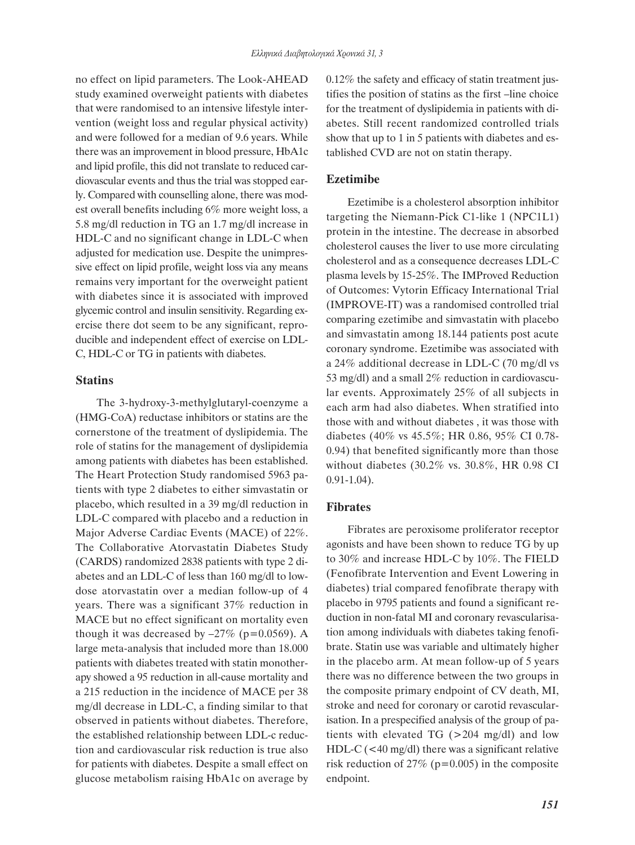no effect on lipid parameters. The Look-AHEAD study examined overweight patients with diabetes that were randomised to an intensive lifestyle intervention (weight loss and regular physical activity) and were followed for a median of 9.6 years. While there was an improvement in blood pressure, HbA1c and lipid profile, this did not translate to reduced cardiovascular events and thus the trial was stopped early. Compared with counselling alone, there was modest overall benefits including 6% more weight loss, a 5.8 mg/dl reduction in TG an 1.7 mg/dl increase in HDL-C and no significant change in LDL-C when adjusted for medication use. Despite the unimpressive effect on lipid profile, weight loss via any means remains very important for the overweight patient with diabetes since it is associated with improved glycemic control and insulin sensitivity. Regarding exercise there dot seem to be any significant, reproducible and independent effect of exercise on LDL-C, HDL-C or TG in patients with diabetes.

## **Statins**

The 3-hydroxy-3-methylglutaryl-coenzyme a (HMG-CoA) reductase inhibitors or statins are the cornerstone of the treatment of dyslipidemia. The role of statins for the management of dyslipidemia among patients with diabetes has been established. The Heart Protection Study randomised 5963 patients with type 2 diabetes to either simvastatin or placebo, which resulted in a 39 mg/dl reduction in LDL-C compared with placebo and a reduction in Major Adverse Cardiac Events (MACE) of 22%. The Collaborative Atorvastatin Diabetes Study (CARDS) randomized 2838 patients with type 2 diabetes and an LDL-C of less than 160 mg/dl to lowdose atorvastatin over a median follow-up of 4 years. There was a significant 37% reduction in MACE but no effect significant on mortality even though it was decreased by  $-27\%$  (p=0.0569). A large meta-analysis that included more than 18.000 patients with diabetes treated with statin monotherapy showed a 95 reduction in all-cause mortality and a 215 reduction in the incidence of MACE per 38 mg/dl decrease in LDL-C, a finding similar to that observed in patients without diabetes. Therefore, the established relationship between LDL-c reduction and cardiovascular risk reduction is true also for patients with diabetes. Despite a small effect on glucose metabolism raising HbA1c on average by 0.12% the safety and efficacy of statin treatment justifies the position of statins as the first –line choice for the treatment of dyslipidemia in patients with diabetes. Still recent randomized controlled trials show that up to 1 in 5 patients with diabetes and established CVD are not on statin therapy.

## **Ezetimibe**

Ezetimibe is a cholesterol absorption inhibitor targeting the Niemann-Pick C1-like 1 (NPC1L1) protein in the intestine. The decrease in absorbed cholesterol causes the liver to use more circulating cholesterol and as a consequence decreases LDL-C plasma levels by 15-25%. The IMProved Reduction of Outcomes: Vytorin Efficacy International Trial (IMPROVE-IT) was a randomised controlled trial comparing ezetimibe and simvastatin with placebo and simvastatin among 18.144 patients post acute coronary syndrome. Ezetimibe was associated with a 24% additional decrease in LDL-C (70 mg/dl vs 53 mg/dl) and a small 2% reduction in cardiovascular events. Approximately 25% of all subjects in each arm had also diabetes. When stratified into those with and without diabetes , it was those with diabetes (40% vs 45.5%; HR 0.86, 95% CI 0.78- 0.94) that benefited significantly more than those without diabetes (30.2% vs. 30.8%, HR 0.98 CI 0.91-1.04).

## **Fibrates**

Fibrates are peroxisome proliferator receptor agonists and have been shown to reduce TG by up to 30% and increase HDL-C by 10%. The FIELD (Fenofibrate Intervention and Event Lowering in diabetes) trial compared fenofibrate therapy with placebo in 9795 patients and found a significant reduction in non-fatal MI and coronary revascularisation among individuals with diabetes taking fenofibrate. Statin use was variable and ultimately higher in the placebo arm. At mean follow-up of 5 years there was no difference between the two groups in the composite primary endpoint of CV death, MI, stroke and need for coronary or carotid revascularisation. In a prespecified analysis of the group of patients with elevated TG (>204 mg/dl) and low HDL-C (<40 mg/dl) there was a significant relative risk reduction of 27% ( $p=0.005$ ) in the composite endpoint.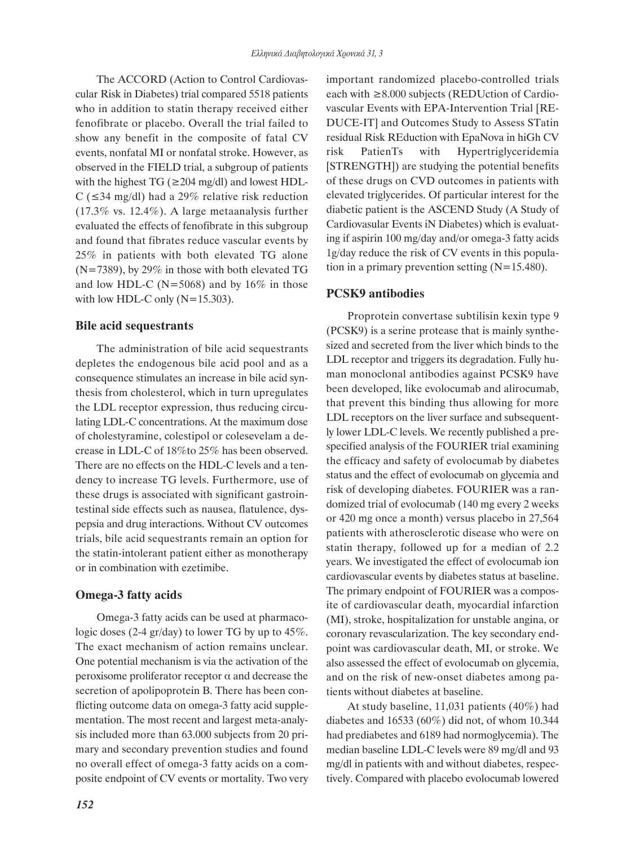The ACCORD (Action to Control Cardiovascular Risk in Diabetes) trial compared 5518 patients who in addition to statin therapy received either fenofibrate or placebo. Overall the trial failed to show any benefit in the composite of fatal CV events, nonfatal MI or nonfatal stroke. However, as observed in the FIELD trial, a subgroup of patients with the highest TG ( $\geq$ 204 mg/dl) and lowest HDL-C ( $\leq$ 34 mg/dl) had a 29% relative risk reduction (17.3% vs. 12.4%). A large metaanalysis further evaluated the effects of fenofibrate in this subgroup and found that fibrates reduce vascular events by 25% in patients with both elevated TG alone (N=7389), by 29% in those with both elevated TG and low HDL-C ( $N=5068$ ) and by 16% in those with low HDL-C only (N=15.303).

# **Bile acid sequestrants**

The administration of bile acid sequestrants depletes the endogenous bile acid pool and as a consequence stimulates an increase in bile acid synthesis from cholesterol, which in turn upregulates the LDL receptor expression, thus reducing circulating LDL-C concentrations. At the maximum dose of cholestyramine, colestipol or colesevelam a decrease in LDL-C of 18%to 25% has been observed. There are no effects on the HDL-C levels and a tendency to increase TG levels. Furthermore, use of these drugs is associated with significant gastrointestinal side effects such as nausea, flatulence, dyspepsia and drug interactions. Without CV outcomes trials, bile acid sequestrants remain an option for the statin-intolerant patient either as monotherapy or in combination with ezetimibe.

# **Omega-3 fatty acids**

Omega-3 fatty acids can be used at pharmacologic doses (2-4 gr/day) to lower TG by up to 45%. The exact mechanism of action remains unclear. One potential mechanism is via the activation of the peroxisome proliferator receptor α and decrease the secretion of apolipoprotein B. There has been conflicting outcome data on omega-3 fatty acid supplementation. The most recent and largest meta-analysis included more than 63.000 subjects from 20 primary and secondary prevention studies and found no overall effect of omega-3 fatty acids on a composite endpoint of CV events or mortality. Two very important randomized placebo-controlled trials each with ≥8.000 subjects (REDUction of Cardiovascular Events with EPA-Intervention Trial [RE-DUCE-IT] and Outcomes Study to Assess STatin residual Risk REduction with EpaNova in hiGh CV risk PatienTs with Hypertriglyceridemia [STRENGTH]) are studying the potential benefits of these drugs on CVD outcomes in patients with elevated triglycerides. Of particular interest for the diabetic patient is the ASCEND Study (A Study of Cardiovasular Events iN Diabetes) which is evaluating if aspirin 100 mg/day and/or omega-3 fatty acids 1g/day reduce the risk of CV events in this population in a primary prevention setting  $(N=15.480)$ .

# **PCSK9 antibodies**

Proprotein convertase subtilisin kexin type 9 (PCSK9) is a serine protease that is mainly synthesized and secreted from the liver which binds to the LDL receptor and triggers its degradation. Fully human monoclonal antibodies against PCSK9 have been developed, like evolocumab and alirocumab, that prevent this binding thus allowing for more LDL receptors on the liver surface and subsequently lower LDL-C levels. We recently published a prespecified analysis of the FOURIER trial examining the efficacy and safety of evolocumab by diabetes status and the effect of evolocumab on glycemia and risk of developing diabetes. FOURIER was a randomized trial of evolocumab (140 mg every 2 weeks or 420 mg once a month) versus placebo in 27,564 patients with atherosclerotic disease who were on statin therapy, followed up for a median of 2.2 years. We investigated the effect of evolocumab ion cardiovascular events by diabetes status at baseline. The primary endpoint of FOURIER was a composite of cardiovascular death, myocardial infarction (MI), stroke, hospitalization for unstable angina, or coronary revascularization. The key secondary endpoint was cardiovascular death, MI, or stroke. We also assessed the effect of evolocumab on glycemia, and on the risk of new-onset diabetes among patients without diabetes at baseline.

At study baseline, 11,031 patients (40%) had diabetes and 16533 (60%) did not, of whom 10.344 had prediabetes and 6189 had normoglycemia). The median baseline LDL-C levels were 89 mg/dl and 93 mg/dl in patients with and without diabetes, respectively. Compared with placebo evolocumab lowered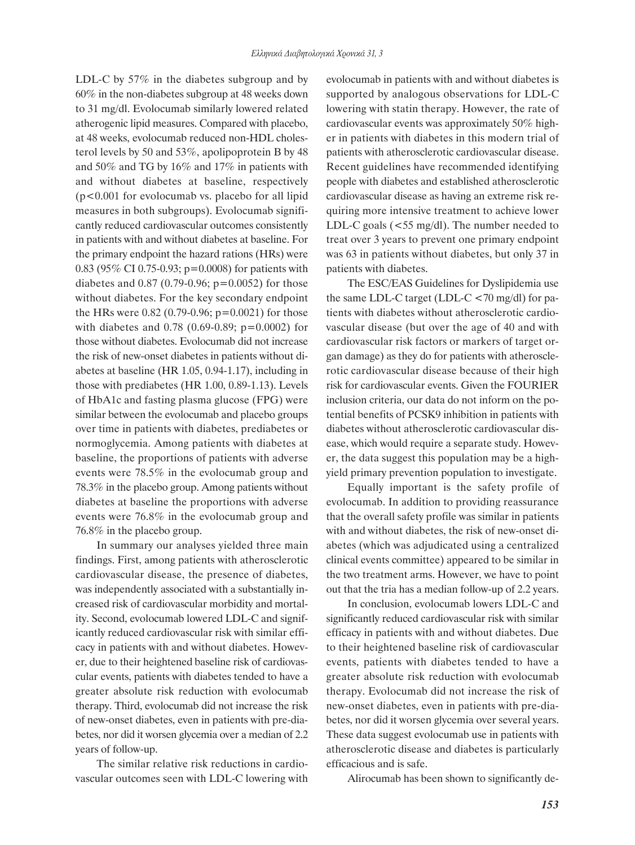LDL-C by 57% in the diabetes subgroup and by 60% in the non-diabetes subgroup at 48 weeks down to 31 mg/dl. Evolocumab similarly lowered related atherogenic lipid measures. Compared with placebo, at 48 weeks, evolocumab reduced non-HDL cholesterol levels by 50 and 53%, apolipoprotein B by 48 and 50% and TG by 16% and 17% in patients with and without diabetes at baseline, respectively (p<0.001 for evolocumab vs. placebo for all lipid measures in both subgroups). Evolocumab significantly reduced cardiovascular outcomes consistently in patients with and without diabetes at baseline. For the primary endpoint the hazard rations (HRs) were 0.83 (95% CI 0.75-0.93; p=0.0008) for patients with diabetes and  $0.87$  (0.79-0.96; p=0.0052) for those without diabetes. For the key secondary endpoint the HRs were  $0.82$  (0.79-0.96; p=0.0021) for those with diabetes and  $0.78$  (0.69-0.89; p=0.0002) for those without diabetes. Evolocumab did not increase the risk of new-onset diabetes in patients without diabetes at baseline (HR 1.05, 0.94-1.17), including in those with prediabetes (HR 1.00, 0.89-1.13). Levels of HbA1c and fasting plasma glucose (FPG) were similar between the evolocumab and placebo groups over time in patients with diabetes, prediabetes or normoglycemia. Among patients with diabetes at baseline, the proportions of patients with adverse events were 78.5% in the evolocumab group and 78.3% in the placebo group. Among patients without diabetes at baseline the proportions with adverse events were 76.8% in the evolocumab group and 76.8% in the placebo group.

In summary our analyses yielded three main findings. First, among patients with atherosclerotic cardiovascular disease, the presence of diabetes, was independently associated with a substantially increased risk of cardiovascular morbidity and mortality. Second, evolocumab lowered LDL-C and significantly reduced cardiovascular risk with similar efficacy in patients with and without diabetes. However, due to their heightened baseline risk of cardiovascular events, patients with diabetes tended to have a greater absolute risk reduction with evolocumab therapy. Third, evolocumab did not increase the risk of new-onset diabetes, even in patients with pre-diabetes, nor did it worsen glycemia over a median of 2.2 years of follow-up.

The similar relative risk reductions in cardiovascular outcomes seen with LDL-C lowering with evolocumab in patients with and without diabetes is supported by analogous observations for LDL-C lowering with statin therapy. However, the rate of cardiovascular events was approximately 50% higher in patients with diabetes in this modern trial of patients with atherosclerotic cardiovascular disease. Recent guidelines have recommended identifying people with diabetes and established atherosclerotic cardiovascular disease as having an extreme risk requiring more intensive treatment to achieve lower LDL-C goals (<55 mg/dl). The number needed to treat over 3 years to prevent one primary endpoint was 63 in patients without diabetes, but only 37 in patients with diabetes.

The ESC/EAS Guidelines for Dyslipidemia use the same LDL-C target (LDL-C <70 mg/dl) for patients with diabetes without atherosclerotic cardiovascular disease (but over the age of 40 and with cardiovascular risk factors or markers of target organ damage) as they do for patients with atherosclerotic cardiovascular disease because of their high risk for cardiovascular events. Given the FOURIER inclusion criteria, our data do not inform on the potential benefits of PCSK9 inhibition in patients with diabetes without atherosclerotic cardiovascular disease, which would require a separate study. However, the data suggest this population may be a highyield primary prevention population to investigate.

Equally important is the safety profile of evolocumab. In addition to providing reassurance that the overall safety profile was similar in patients with and without diabetes, the risk of new-onset diabetes (which was adjudicated using a centralized clinical events committee) appeared to be similar in the two treatment arms. However, we have to point out that the tria has a median follow-up of 2.2 years.

In conclusion, evolocumab lowers LDL-C and significantly reduced cardiovascular risk with similar efficacy in patients with and without diabetes. Due to their heightened baseline risk of cardiovascular events, patients with diabetes tended to have a greater absolute risk reduction with evolocumab therapy. Evolocumab did not increase the risk of new-onset diabetes, even in patients with pre-diabetes, nor did it worsen glycemia over several years. These data suggest evolocumab use in patients with atherosclerotic disease and diabetes is particularly efficacious and is safe.

Alirocumab has been shown to significantly de-